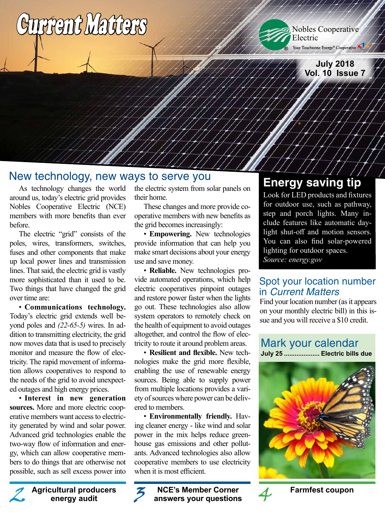



**July 2018 Vol. 10 Issue 7**

## New technology, new ways to serve you

As technology changes the world around us, today's electric grid provides Nobles Cooperative Electric (NCE) members with more benefits than ever before.

The electric "grid" consists of the poles, wires, transformers, switches, fuses and other components that make up local power lines and transmission lines. That said, the electric grid is vastly more sophisticated than it used to be. Two things that have changed the grid over time are:

• **Communications technology.**  Today's electric grid extends well beyond poles and *(22-65-5)* wires. In addition to transmitting electricity, the grid now moves data that is used to precisely monitor and measure the flow of electricity. The rapid movement of information allows cooperatives to respond to the needs of the grid to avoid unexpected outages and high energy prices.

• **Interest in new generation sources.** More and more electric cooperative members want access to electricity generated by wind and solar power. Advanced grid technologies enable the two-way flow of information and energy, which can allow cooperative members to do things that are otherwise not possible, such as sell excess power into

> **Agricultural producers energy audit**

the electric system from solar panels on their home.

These changes and more provide cooperative members with new benefits as the grid becomes increasingly:

• **Empowering.** New technologies provide information that can help you make smart decisions about your energy use and save money.

• **Reliable.** New technologies provide automated operations, which help electric cooperatives pinpoint outages and restore power faster when the lights go out. These technologies also allow system operators to remotely check on the health of equipment to avoid outages altogether, and control the flow of electricity to route it around problem areas.

• **Resilient and flexible.** New technologies make the grid more flexible, enabling the use of renewable energy sources. Being able to supply power from multiple locations provides a variety of sources where power can be delivered to members.

• **Environmentally friendly.** Having cleaner energy - like wind and solar power in the mix helps reduce greenhouse gas emissions and other pollutants. Advanced technologies also allow cooperative members to use electricity when it is most efficient.

**NCE's Member Corner answers your questions Farmfest coupon**<br> **Farmfest coupon**<br> **Farmfest coupon**<br> **Farmfest coupon**<br> **Farmfest coupon**<br> **Farmfest coupon**<br> **Farmfest coupon**<br> **Farmfest coupon** 

## **Energy saving tip**

Look for LED products and fixtures for outdoor use, such as pathway, step and porch lights. Many include features like automatic daylight shut-off and motion sensors. You can also find solar-powered lighting for outdoor spaces. *Source: energy.gov*

## Spot your location number in Current Matters

Find your location number (as it appears on your monthly electric bill) in this issue and you will receive a \$10 credit.

## Mark your calendar

**July 25 .................... Electric bills due**



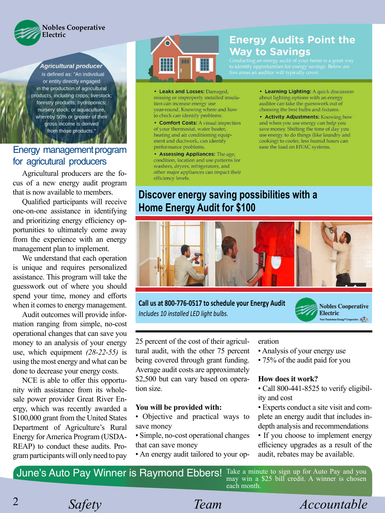

Agricultural producer

is defined as: "An individual or entity directly engaged in the production of agricultural products, including crops; livestock; forestry products; hydroponics; nursery stock; or aquaculture, whereby 50% or greater of their gross income is derived from those products."

## Energy management program for agricutural producers

Agricultural producers are the focus of a new energy audit program that is now available to members.

Qualified participants will receive one-on-one assistance in identifying and prioritizing energy efficiency opportunities to ultimately come away from the experience with an energy management plan to implement.

We understand that each operation is unique and requires personalized assistance. This program will take the guesswork out of where you should spend your time, money and efforts when it comes to energy management.

Audit outcomes will provide information ranging from simple, no-cost operational changes that can save you money to an analysis of your energy use, which equipment *(28-22-55)* is using the most energy and what can be done to decrease your energy costs.

NCE is able to offer this opportunity with assistance from its wholesale power provider Great River Energy, which was recently awarded a \$100,000 grant from the United States Department of Agriculture's Rural Energy for America Program (USDA-REAP) to conduct these audits. Program participants will only need to pay



• Leaks and Losses: Damaged, missing or improperly installed insulation can increase energy use. year-round. Knowing where and how to check can identify problems.

• Comfort Costs: A visual inspection of your thermostat, water heater, heating and air conditioning equipment and ductwork, can identify performance problems.

• Assessing Appliances: The age, condition, location and use patterns for washers, dryers, refrigerators, and other major appliances can impact their efficiency levels.

## **Energy Audits Point the Way to Savings**

Conducting an energy audit of your home is a great way<br>to identify opportunities for energy savings. Below are

• Learning Lighting: A quick discussion about lighting options with an energy auditor can take the guesswork out of choosing the best bulbs and fixtures.

• Activity Adjustments: Knowing how and when you use energy can help you save money. Shifting the time of day you use energy to do things (like laundry and cooking) to cooler, less humid hours can ease the load on HVAC systems.

## **Discover energy saving possibilities with a Home Energy Audit for \$100**



**Call us at 800-776-0517 to schedule your Energy Audit** *Includes 10 installed LED light bulbs.* 



25 percent of the cost of their agricultural audit, with the other 75 percent being covered through grant funding. Average audit costs are approximately \$2,500 but can vary based on operation size.

#### **You will be provided with:**

- Objective and practical ways to save money
- Simple, no-cost operational changes that can save money
- An energy audit tailored to your op-

#### eration

- Analysis of your energy use
- 75% of the audit paid for you

#### **How does it work?**

- Call 800-441-8525 to verify eligibility and cost
- Experts conduct a site visit and complete an energy audit that includes indepth analysis and recommendations
- If you choose to implement energy efficiency upgrades as a result of the audit, rebates may be available.

*Safety Team Accountable* 

June's Auto Pay Winner is Raymond Ebbers! Take a minute to sign up for Auto Pay and you may win a \$25 bill credit. A winner is chosen each month.

2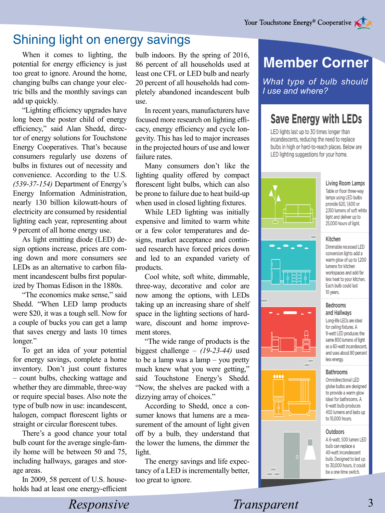## Shining light on energy savings

When it comes to lighting, the potential for energy efficiency is just too great to ignore. Around the home, changing bulbs can change your electric bills and the monthly savings can add up quickly.

"Lighting efficiency upgrades have long been the poster child of energy efficiency," said Alan Shedd, director of energy solutions for Touchstone Energy Cooperatives. That's because consumers regularly use dozens of bulbs in fixtures out of necessity and convenience. According to the U.S. *(539-37-154)* Department of Energy's Energy Information Administration, nearly 130 billion kilowatt-hours of electricity are consumed by residential lighting each year, representing about 9 percent of all home energy use.

As light emitting diode (LED) design options increase, prices are coming down and more consumers see LEDs as an alternative to carbon filament incandescent bulbs first popularized by Thomas Edison in the 1880s.

"The economics make sense," said Shedd. "When LED lamp products were \$20, it was a tough sell. Now for a couple of bucks you can get a lamp that saves energy and lasts 10 times longer."

To get an idea of your potential for energy savings, complete a home inventory. Don't just count fixtures – count bulbs, checking wattage and whether they are dimmable, three-way or require special bases. Also note the type of bulb now in use: incandescent, halogen, compact florescent lights or straight or circular florescent tubes.

There's a good chance your total bulb count for the average single-family home will be between 50 and 75, including hallways, garages and storage areas.

In 2009, 58 percent of U.S. households had at least one energy-efficient bulb indoors. By the spring of 2016, 86 percent of all households used at least one CFL or LED bulb and nearly 20 percent of all households had completely abandoned incandescent bulb use.

In recent years, manufacturers have focused more research on lighting efficacy, energy efficiency and cycle longevity. This has led to major increases in the projected hours of use and lower failure rates.

Many consumers don't like the lighting quality offered by compact florescent light bulbs, which can also be prone to failure due to heat build-up when used in closed lighting fixtures.

While LED lighting was initially expensive and limited to warm white or a few color temperatures and designs, market acceptance and continued research have forced prices down and led to an expanded variety of products.

Cool white, soft white, dimmable, three-way, decorative and color are now among the options, with LEDs taking up an increasing share of shelf space in the lighting sections of hardware, discount and home improvement stores.

"The wide range of products is the biggest challenge – *(19-23-44)* used to be a lamp was a lamp – you pretty much knew what you were getting," said Touchstone Energy's Shedd. "Now, the shelves are packed with a dizzying array of choices."

According to Shedd, once a consumer knows that lumens are a measurement of the amount of light given off by a bulb, they understand that the lower the lumens, the dimmer the light.

The energy savings and life expectancy of a LED is incrementally better, too great to ignore.

# **Member Corner**

*What type of bulb should I use and where?*

## **Save Energy with LEDs**

LED lights last up to 30 times longer than incandescents, reducing the need to replace bulbs in high or hard-to-reach places. Below are LED lighting suggestions for your home.



Living Room Lamps Table or floor three-way lamps using LED bulbs

provide 620, 1,600 or 2,150 lumens of soft white light and deliver up to 25,000 hours of light.

#### Kitchen

Dimmable recessed LED conversion lights add a warm glow of up to 1,200 lumens for kitchen workspaces and add far less heat to your kitchen. Each bulb could last 10 years.

#### Bedrooms and Hallways

Long-life LEDs are ideal for ceiling fixtures. A 9-watt LED produces the same 800 lumens of light as a 60-watt incandescent, and uses about 80 percent less energy.

#### Bathrooms

Omnidirectional LED globe bulbs are designed to provide a warm glow ideal for bathrooms. A 6-watt bulb produces 450 lumens and lasts up to 15,000 hours.

#### Outdoors

п

A 6-watt, 500 lumen LED bulb can replace a 40-watt incandescent bulb. Designed to last up to 30,000 hours, it could be a one-time switch.

## *Responsive* Transparent